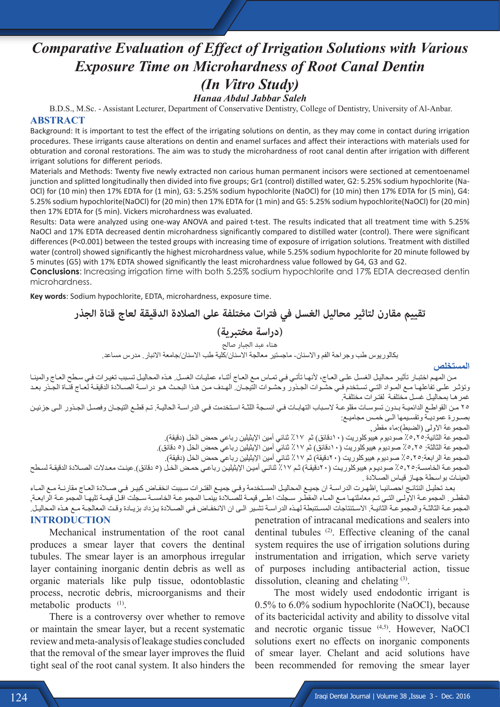# *Comparative Evaluation of Effect of Irrigation Solutions with Various Exposure Time on Microhardness of Root Canal Dentin (In Vitro Study) Hanaa Abdul Jabbar Saleh*

 B.D.S., M.Sc. - Assistant Lecturer, Department of Conservative Dentistry, College of Dentistry, University of Al-Anbar. **ABSTRACT**

Background: It is important to test the effect of the irrigating solutions on dentin, as they may come in contact during irrigation procedures. These irrigants cause alterations on dentin and enamel surfaces and affect their interactions with materials used for obturation and coronal restorations. The aim was to study the microhardness of root canal dentin after irrigation with different irrigant solutions for different periods.

Materials and Methods: Twenty five newly extracted non carious human permanent incisors were sectioned at cementoenamel junction and splitted longitudinally then divided into five groups; Gr1 (control) distilled water, G2: 5.25% sodium hypochlorite (Na-OCl) for (10 min) then 17% EDTA for (1 min), G3: 5.25% sodium hypochlorite (NaOCl) for (10 min) then 17% EDTA for (5 min), G4: 5.25% sodium hypochlorite(NaOCl) for (20 min) then 17% EDTA for (1 min) and G5: 5.25% sodium hypochlorite(NaOCl) for (20 min) then 17% EDTA for (5 min). Vickers microhardness was evaluated.

Results: Data were analyzed using one-way ANOVA and paired t-test. The results indicated that all treatment time with 5.25% NaOCl and 17% EDTA decreased dentin microhardness significantly compared to distilled water (control). There were significant differences (P<0.001) between the tested groups with increasing time of exposure of irrigation solutions. Treatment with distilled water (control) showed significantly the highest microhardness value, while 5.25% sodium hypochlorite for 20 minute followed by 5 minutes (G5) with 17% EDTA showed significantly the least microhardness value followed by G4, G3 and G2.

**Conclusions**: Increasing irrigation time with both 5.25% sodium hypochlorite and 17% EDTA decreased dentin microhardness.

**Key words**: Sodium hypochlorite, EDTA, microhardness, exposure time.

**تقييم مقارن لتاثير محاليل الغسل في فترات مختلفة على الصالدة الدقيقة لعاج قناة الجذر** 

## **)دراسة مختبرية(**

هناء عبد الجبار صالح

بكالوريوس طب وجراحة الفم واالسنان- ماجستير معالجة االسنان/كلية طب االسنان/جامعة االنبار. مدرس مساعد.

**المستخلص**

مـن المهـم اختبـار تأثيـر محاليـل الغسل علـى العـاج، لأنهـا تأتـي فـي تمـاس مـع العـاج أثنـاء عمليـات الغسـل. هـذه المحاليـل تسبب تغيـرات فـي سطح العـاج والمينـا وتؤثـر علـى تفاعلهـا مـع المـواد التـي تسـتخدم فـي حشـوات الجـذور وحشـوات التيجـان. الهـدف مـن هـذا البحـث هـو دراسـة الصـادة الدقيقـة لعـاج قنـاة الجـذر بعـد غمرهـا بمحاليـل غسـل مختلفـة لفتـرات مختلفـة.

٢٥ مـن القواطـع الدائميـة بـدون تسوسـات مقلوعـة لاسـباب التهابـات فـي انسـجة اللثـة اسـتخدمت فـي الدراسـة الحاليـة. تـم قطـع التيجـان وفصـل الجـذور الـي جزئيـن بصـورة عموديـة وتقسـيمها الـى خمـس مجاميـع:

المجموعة الاولى (الضبط):ماء مقطر ٖ

المجموعة الثانية:٥,٢٥-٪ صوديوم هيبوكلوريت (١٠دقائق) ثم ١٧٪ ثنائي أمين الإيثيلين رباعي حمض الخل (دقيقة). المجموعة الثالثة: 0,٢٥٪ صوديوم هيبوكلوريت (١٠دقائق) ثم ١٧٪ ثنائي أمين الإيثيلين رباعي حمض الخل (٥ دقائق). المجموعة الرابعة:0,10٪ صوديوم هيبوكلوريت (٢٠دقيقة) ثم ١٧٪ ثنائي أمين الإيثيلين رباعي حمض الخل (دقيقة). المجموعـة الخامسـة: 0,10٪ صوديـوم هيبوكلوريـت (٢٠دقيقـة) ثـم ١٧٪ ثنائـي أميـن الإيثيليـن رباعـي حمـض الخـل (٥ دقائق) عينـت معـدلات الصـلادة الدقيقـة لسـطح العينـات بواسـطة جهـاز قيـاس الصـادة .

بعـد تحليـل النتائـج احصائيـا ,اظهـرت الدراسـة ان جميـع المحاليـل المسـتخدمة وفـي جميـع الفتـرات سـببت انخفـاض كبيـر فـي صـلادة العـاج مقارنـة مـع المـاء المقطـر. المجموعـة الاولـى التـي تـم معاملتهـا مـع المـاء المقطـر سـجلت اعلـى قيمـة للصـلادة بينمـا المجموعـة المجموعـة الرابعـة, المجموعـة الثالثـة والمجموعـة الثانيـة. الاسـتنتاجات المسـتنبطة لهـذه الدراسـة تشـير الـي ان الانخفـاض فـي الصـلادة يـزداد بزيـادة وقـت المعالجـة مـع هـذه المحاليـل.

#### **INTRODUCTION**

Mechanical instrumentation of the root canal produces a smear layer that covers the dentinal tubules. The smear layer is an amorphous irregular layer containing inorganic dentin debris as well as organic materials like pulp tissue, odontoblastic process, necrotic debris, microorganisms and their metabolic products <sup>(1)</sup>.

There is a controversy over whether to remove or maintain the smear layer, but a recent systematic review and meta-analysis of leakage studies concluded that the removal of the smear layer improves the fluid tight seal of the root canal system. It also hinders the penetration of intracanal medications and sealers into dentinal tubules <sup>(2)</sup>. Effective cleaning of the canal system requires the use of irrigation solutions during instrumentation and irrigation, which serve variety of purposes including antibacterial action, tissue dissolution, cleaning and chelating (3).

The most widely used endodontic irrigant is 0.5% to 6.0% sodium hypochlorite (NaOCl), because of its bactericidal activity and ability to dissolve vital and necrotic organic tissue (4,5). However, NaOCl solutions exert no effects on inorganic components of smear layer. Chelant and acid solutions have been recommended for removing the smear layer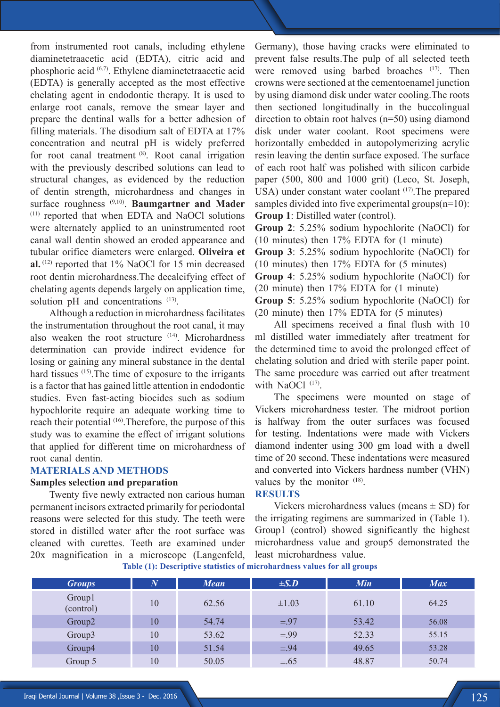from instrumented root canals, including ethylene diaminetetraacetic acid (EDTA), citric acid and phosphoric acid (6,7) . Ethylene diaminetetraacetic acid (EDTA) is generally accepted as the most effective chelating agent in endodontic therapy. It is used to enlarge root canals, remove the smear layer and prepare the dentinal walls for a better adhesion of filling materials. The disodium salt of EDTA at 17% concentration and neutral pH is widely preferred for root canal treatment (8). Root canal irrigation with the previously described solutions can lead to structural changes, as evidenced by the reduction of dentin strength, microhardness and changes in surface roughness (9,10) . **Baumgartner and Mader** (11) reported that when EDTA and NaOCl solutions were alternately applied to an uninstrumented root canal wall dentin showed an eroded appearance and tubular orifice diameters were enlarged. **Oliveira et**  al.<sup>(12)</sup> reported that 1% NaOCl for 15 min decreased root dentin microhardness.The decalcifying effect of chelating agents depends largely on application time, solution pH and concentrations (13).

Although a reduction in microhardness facilitates the instrumentation throughout the root canal, it may also weaken the root structure <sup>(14)</sup>. Microhardness determination can provide indirect evidence for losing or gaining any mineral substance in the dental hard tissues <sup>(15)</sup>. The time of exposure to the irrigants is a factor that has gained little attention in endodontic studies. Even fast-acting biocides such as sodium hypochlorite require an adequate working time to reach their potential <sup>(16)</sup>. Therefore, the purpose of this study was to examine the effect of irrigant solutions that applied for different time on microhardness of root canal dentin.

## **MATERIALS AND METHODS**

#### **Samples selection and preparation**

Twenty five newly extracted non carious human permanent incisors extracted primarily for periodontal reasons were selected for this study. The teeth were stored in distilled water after the root surface was cleaned with curettes. Teeth are examined under 20x magnification in a microscope (Langenfeld,

Germany), those having cracks were eliminated to prevent false results.The pulp of all selected teeth were removed using barbed broaches <sup>(17)</sup>. Then crowns were sectioned at the cementoenamel junction by using diamond disk under water cooling.The roots then sectioned longitudinally in the buccolingual direction to obtain root halves (n=50) using diamond disk under water coolant. Root specimens were horizontally embedded in autopolymerizing acrylic resin leaving the dentin surface exposed. The surface of each root half was polished with silicon carbide paper (500, 800 and 1000 grit) (Leco, St. Joseph, USA) under constant water coolant <sup>(17)</sup>. The prepared samples divided into five experimental groups(n=10): **Group 1**: Distilled water (control).

**Group 2**: 5.25% sodium hypochlorite (NaOCl) for (10 minutes) then 17% EDTA for (1 minute)

**Group 3**: 5.25% sodium hypochlorite (NaOCl) for (10 minutes) then 17% EDTA for (5 minutes)

**Group 4**: 5.25% sodium hypochlorite (NaOCl) for (20 minute) then 17% EDTA for (1 minute)

**Group 5**: 5.25% sodium hypochlorite (NaOCl) for (20 minute) then 17% EDTA for (5 minutes)

All specimens received a final flush with 10 ml distilled water immediately after treatment for the determined time to avoid the prolonged effect of chelating solution and dried with sterile paper point. The same procedure was carried out after treatment with NaOCl $(17)$ .

The specimens were mounted on stage of Vickers microhardness tester. The midroot portion is halfway from the outer surfaces was focused for testing. Indentations were made with Vickers diamond indenter using 300 gm load with a dwell time of 20 second. These indentations were measured and converted into Vickers hardness number (VHN) values by the monitor  $(18)$ .

#### **RESULTS**

Vickers microhardness values (means  $\pm$  SD) for the irrigating regimens are summarized in (Table 1). Group1 (control) showed significantly the highest microhardness value and group5 demonstrated the least microhardness value.

**Table (1): Descriptive statistics of microhardness values for all groups**

| <b>Groups</b>       | $\boldsymbol{N}$ | <b>Mean</b> | $\pm S.D$  | <b>Min</b> | <b>Max</b> |
|---------------------|------------------|-------------|------------|------------|------------|
| Group1<br>(control) | 10               | 62.56       | $\pm 1.03$ | 61.10      | 64.25      |
| Group2              | 10               | 54.74       | $\pm .97$  | 53.42      | 56.08      |
| Group3              | 10               | 53.62       | $\pm .99$  | 52.33      | 55.15      |
| Group4              | 10               | 51.54       | $\pm .94$  | 49.65      | 53.28      |
| Group 5             | 10               | 50.05       | $\pm .65$  | 48.87      | 50.74      |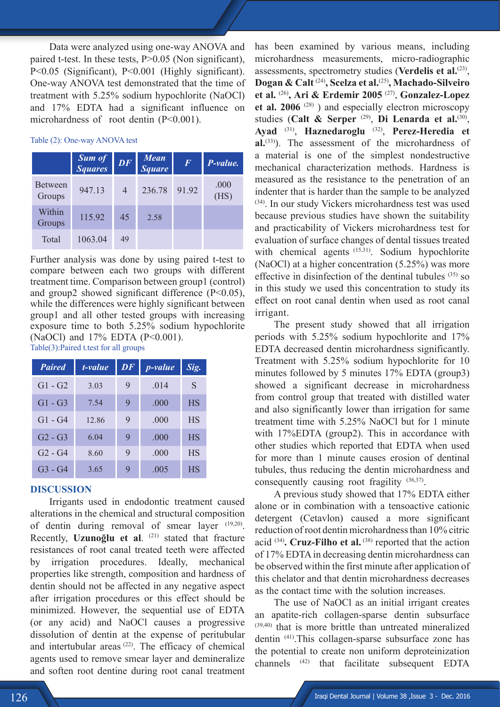Data were analyzed using one-way ANOVA and paired t-test. In these tests, P>0.05 (Non significant), P<0.05 (Significant), P<0.001 (Highly significant). One-way ANOVA test demonstrated that the time of treatment with 5.25% sodium hypochlorite (NaOCl) and 17% EDTA had a significant influence on microhardness of root dentin (P<0.001).

#### Table (2): One-way ANOVA test

|                          | <b>Sum of</b><br><b>Squares</b> | $\overline{D}F$ | <b>Mean</b><br><b>Square</b> | $\boldsymbol{F}$ | P-value.     |
|--------------------------|---------------------------------|-----------------|------------------------------|------------------|--------------|
| <b>Between</b><br>Groups | 947.13                          | 4               | 236.78                       | 91.92            | .000<br>(HS) |
| Within<br>Groups         | 115.92                          | 45              | 2.58                         |                  |              |
| Total                    | 1063.04                         | 49              |                              |                  |              |

Further analysis was done by using paired t-test to compare between each two groups with different treatment time. Comparison between group1 (control) and group2 showed significant difference (P<0.05), while the differences were highly significant between group1 and all other tested groups with increasing exposure time to both 5.25% sodium hypochlorite (NaOCl) and 17% EDTA (P<0.001).

Table(3):Paired t.test for all groups

| <b>Paired</b> | t-value | DF | <i>p</i> -value | Sig.      |
|---------------|---------|----|-----------------|-----------|
| $G1 - G2$     | 3.03    | 9  | .014            | S         |
| $G1 - G3$     | 7.54    | 9  | .000            | <b>HS</b> |
| $G1 - G4$     | 12.86   | 9  | .000            | <b>HS</b> |
| $G2 - G3$     | 6.04    | 9  | .000            | <b>HS</b> |
| $G2 - G4$     | 8.60    | 9  | .000            | <b>HS</b> |
| $G_3 - G_4$   | 3.65    | 9  | .005            | <b>HS</b> |

#### **DISCUSSION**

Irrigants used in endodontic treatment caused alterations in the chemical and structural composition of dentin during removal of smear layer (19,20). Recently, **Uzunoğlu et al**. (21) stated that fracture resistances of root canal treated teeth were affected by irrigation procedures. Ideally, mechanical properties like strength, composition and hardness of dentin should not be affected in any negative aspect after irrigation procedures or this effect should be minimized. However, the sequential use of EDTA (or any acid) and NaOCl causes a progressive dissolution of dentin at the expense of peritubular and intertubular areas  $(22)$ . The efficacy of chemical agents used to remove smear layer and demineralize and soften root dentine during root canal treatment

has been examined by various means, including microhardness measurements, micro-radiographic assessments, spectrometry studies (**Verdelis et al.**<sup>(23)</sup>, **Dogan & Calt** (24) **, Scelza et al.**(25) **, Machado-Silveiro et al.** (26) **, Ari & Erdemir 2005** (27) , **Gonzalez-Lopez**  et al. 2006<sup>(28)</sup>) and especially electron microscopy studies (Calt & Serper<sup>(29)</sup>, Di Lenarda et al.<sup>(30)</sup>, **Ayad** (31) , **Haznedaroglu** (32) , **Perez-Heredia et al.**(33) ). The assessment of the microhardness of a material is one of the simplest nondestructive mechanical characterization methods. Hardness is measured as the resistance to the penetration of an indenter that is harder than the sample to be analyzed (34) . In our study Vickers microhardness test was used because previous studies have shown the suitability and practicability of Vickers microhardness test for evaluation of surface changes of dental tissues treated with chemical agents <sup>(15,31)</sup>. Sodium hypochlorite (NaOCl) at a higher concentration (5.25%) was more effective in disinfection of the dentinal tubules  $(35)$  so in this study we used this concentration to study its effect on root canal dentin when used as root canal irrigant.

The present study showed that all irrigation periods with 5.25% sodium hypochlorite and 17% EDTA decreased dentin microhardness significantly. Treatment with 5.25% sodium hypochlorite for 10 minutes followed by 5 minutes 17% EDTA (group3) showed a significant decrease in microhardness from control group that treated with distilled water and also significantly lower than irrigation for same treatment time with 5.25% NaOCl but for 1 minute with 17%EDTA (group2). This in accordance with other studies which reported that EDTA when used for more than 1 minute causes erosion of dentinal tubules, thus reducing the dentin microhardness and consequently causing root fragility (36,37).

A previous study showed that 17% EDTA either alone or in combination with a tensoactive cationic detergent (Cetavlon) caused a more significant reduction of root dentin microhardness than 10% citric acid <sup>(34)</sup>. Cruz-Filho et al. <sup>(38)</sup> reported that the action of 17% EDTA in decreasing dentin microhardness can be observed within the first minute after application of this chelator and that dentin microhardness decreases as the contact time with the solution increases.

The use of NaOCl as an initial irrigant creates an apatite-rich collagen-sparse dentin subsurface (39,40) that is more brittle than untreated mineralized dentin (41) .This collagen-sparse subsurface zone has the potential to create non uniform deproteinization channels (42) that facilitate subsequent EDTA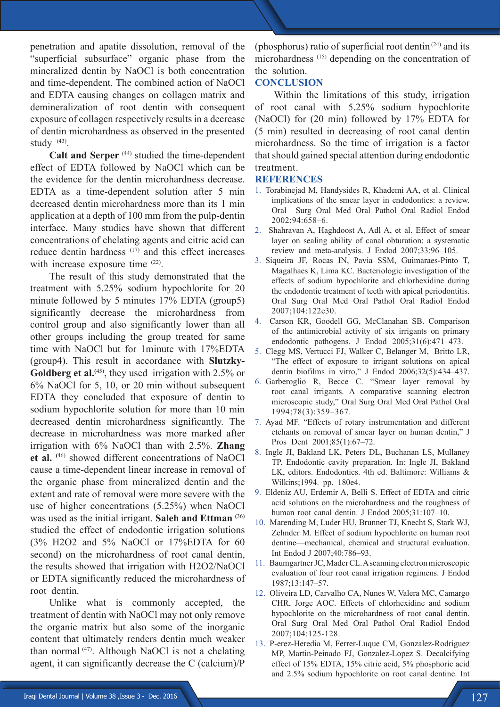penetration and apatite dissolution, removal of the "superficial subsurface" organic phase from the mineralized dentin by NaOCl is both concentration and time-dependent. The combined action of NaOCl and EDTA causing changes on collagen matrix and demineralization of root dentin with consequent exposure of collagen respectively results in a decrease of dentin microhardness as observed in the presented study  $(43)$ .

**Calt and Serper** (44) studied the time-dependent effect of EDTA followed by NaOCl which can be the evidence for the dentin microhardness decrease. EDTA as a time-dependent solution after 5 min decreased dentin microhardness more than its 1 min application at a depth of 100 mm from the pulp-dentin interface. Many studies have shown that different concentrations of chelating agents and citric acid can reduce dentin hardness (17) and this effect increases with increase exposure time <sup>(22)</sup>.

The result of this study demonstrated that the treatment with 5.25% sodium hypochlorite for 20 minute followed by 5 minutes 17% EDTA (group5) significantly decrease the microhardness from control group and also significantly lower than all other groups including the group treated for same time with NaOCl but for 1minute with 17%EDTA (group4). This result in accordance with **Slutzky-**Goldberg et al.<sup>(45)</sup>, they used irrigation with 2.5% or 6% NaOCl for 5, 10, or 20 min without subsequent EDTA they concluded that exposure of dentin to sodium hypochlorite solution for more than 10 min decreased dentin microhardness significantly. The decrease in microhardness was more marked after irrigation with 6% NaOCl than with 2.5%. **Zhang**  et al. <sup>(46)</sup> showed different concentrations of NaOCl cause a time-dependent linear increase in removal of the organic phase from mineralized dentin and the extent and rate of removal were more severe with the use of higher concentrations (5.25%) when NaOCl was used as the initial irrigant. **Saleh and Ettman (**36) studied the effect of endodontic irrigation solutions (3% H2O2 and 5% NaOCl or 17%EDTA for 60 second) on the microhardness of root canal dentin, the results showed that irrigation with H2O2/NaOCl or EDTA significantly reduced the microhardness of root dentin.

Unlike what is commonly accepted, the treatment of dentin with NaOCl may not only remove the organic matrix but also some of the inorganic content that ultimately renders dentin much weaker than normal  $(47)$ . Although NaOCl is not a chelating agent, it can significantly decrease the C (calcium)/P

(phosphorus) ratio of superficial root dentin $(24)$  and its microhardness (15) depending on the concentration of the solution.

### **CONCLUSION**

Within the limitations of this study, irrigation of root canal with 5.25% sodium hypochlorite (NaOCl) for (20 min) followed by 17% EDTA for (5 min) resulted in decreasing of root canal dentin microhardness. So the time of irrigation is a factor that should gained special attention during endodontic treatment.

#### **REFERENCES**

- 1. Torabinejad M, Handysides R, Khademi AA, et al. Clinical implications of the smear layer in endodontics: a review. Oral Surg Oral Med Oral Pathol Oral Radiol Endod 2002;94:658–6.
- 2. Shahravan A, Haghdoost A, Adl A, et al. Effect of smear layer on sealing ability of canal obturation: a systematic review and meta-analysis. J Endod 2007;33:96–105.
- 3. Siqueira JF, Rocas IN, Pavia SSM, Guimaraes-Pinto T, Magalhaes K, Lima KC. Bacteriologic investigation of the effects of sodium hypochlorite and chlorhexidine during the endodontic treatment of teeth with apical periodontitis. Oral Surg Oral Med Oral Pathol Oral Radiol Endod 2007;104:122e30.
- 4. Carson KR, Goodell GG, McClanahan SB. Comparison of the antimicrobial activity of six irrigants on primary endodontic pathogens. J Endod 2005;31(6):471–473.
- 5. Clegg MS, Vertucci FJ, Walker C, Belanger M, Britto LR, "The effect of exposure to irrigant solutions on apical dentin biofilms in vitro," J Endod 2006;32(5):434–437.
- 6. Garberoglio R, Becce C. "Smear layer removal by root canal irrigants. A comparative scanning electron microscopic study," Oral Surg Oral Med Oral Pathol Oral 1994;78(3):359–367.
- 7. Ayad MF. "Effects of rotary instrumentation and different etchants on removal of smear layer on human dentin," J Pros Dent 2001;85(1):67–72.
- 8. Ingle JI, Bakland LK, Peters DL, Buchanan LS, Mullaney TP. Endodontic cavity preparation. In: Ingle JI, Bakland LK, editors. Endodontics. 4th ed. Baltimore: Williams & Wilkins;1994. pp. 180e4.
- 9. Eldeniz AU, Erdemir A, Belli S. Effect of EDTA and citric acid solutions on the microhardness and the roughness of human root canal dentin. J Endod 2005;31:107–10.
- 10. Marending M, Luder HU, Brunner TJ, Knecht S, Stark WJ, Zehnder M. Effect of sodium hypochlorite on human root dentine—mechanical, chemical and structural evaluation. Int Endod J 2007;40:786–93.
- 11. Baumgartner JC, Mader CL. A scanning electron microscopic evaluation of four root canal irrigation regimens. J Endod 1987;13:147–57.
- 12. Oliveira LD, Carvalho CA, Nunes W, Valera MC, Camargo CHR, Jorge AOC. Effects of chlorhexidine and sodium hypochlorite on the microhardness of root canal dentin. Oral Surg Oral Med Oral Pathol Oral Radiol Endod 2007;104:125-128.
- 13. P-erez-Heredia M, Ferrer-Luque CM, Gonzalez-Rodriguez MP, Martin-Peinado FJ, Gonzalez-Lopez S. Decalcifying effect of 15% EDTA, 15% citric acid, 5% phosphoric acid and 2.5% sodium hypochlorite on root canal dentine. Int